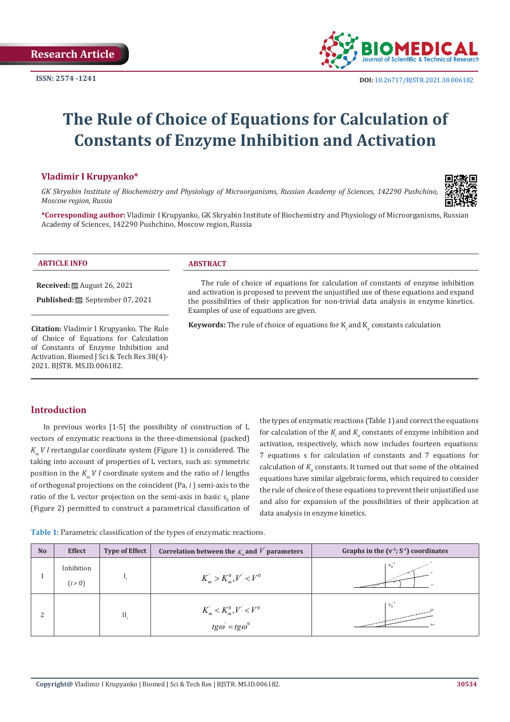

# **The Rule of Choice of Equations for Calculation of Constants of Enzyme Inhibition and Activation**

## **Vladimir I Krupyanko\***

*GK Skryabin Institute of Biochemistry and Physiology of Microorganisms, Russian Academy of Sciences, 142290 Pushchino, Moscow region, Russia*



**\*Corresponding author:** Vladimir I Krupyanko, GK Skryabin Institute of Biochemistry and Physiology of Microorganisms, Russian Academy of Sciences, 142290 Pushchino, Moscow region, Russia

| <b>ARTICLE INFO</b>                                                                                                                                                       | <b>ABSTRACT</b>                                                                                                                                                                                                                                                                                                     |
|---------------------------------------------------------------------------------------------------------------------------------------------------------------------------|---------------------------------------------------------------------------------------------------------------------------------------------------------------------------------------------------------------------------------------------------------------------------------------------------------------------|
| <b>Received:</b> $\mathbf{\mathfrak{B}}$ August 26, 2021                                                                                                                  | The rule of choice of equations for calculation of constants of enzyme inhibition<br>and activation is proposed to prevent the unjustified use of these equations and expand<br>the possibilities of their application for non-trivial data analysis in enzyme kinetics.<br>Examples of use of equations are given. |
| Citation: Vladimir I Krupyanko. The Rule<br>of Choice of Equations for Calculation<br>of Constants of Enzyme Inhibition and<br>Activation. Biomed J Sci & Tech Res 38(4)- | <b>Keywords:</b> The rule of choice of equations for $K_i$ and $K_s$ constants calculation                                                                                                                                                                                                                          |

# **Introduction**

2021. BJSTR. MS.ID.006182.

In previous works [1-5] the possibility of construction of L vectors of enzymatic reactions in the three-dimensional (packed) *K<sub>M</sub> V I* rectangular coordinate system (Figure 1) is considered. The taking into account of properties of L vectors, such as: symmetric position in the  $K_m V I$  coordinate system and the ratio of *l* lengths of orthogonal projections on the coincident (Pa, *i* ) semi-axis to the ratio of the L vector projection on the semi-axis in basic  $s_0$  plane (Figure 2) permitted to construct a parametrical classification of

the types of enzymatic reactions (Table 1) and correct the equations for calculation of the  $K_i$  and  $K_a$  constants of enzyme inhibition and activation, respectively, which now includes fourteen equations: 7 equations s for calculation of constants and 7 equations for calculation of  $K_a$  constants. It turned out that some of the obtained equations have similar algebraic forms, which required to consider the rule of choice of these equations to prevent their unjustified use and also for expansion of the possibilities of their application at data analysis in enzyme kinetics.

**Table 1:** Parametric classification of the types of enzymatic reactions.

| <b>No</b> | <b>Effect</b>         | <b>Type of Effect</b> | Correlation between the $K_n$ and $V$ parameters                                                                      | Graphs in the $(v^1; S^1)$ coordinates |
|-----------|-----------------------|-----------------------|-----------------------------------------------------------------------------------------------------------------------|----------------------------------------|
|           | Inhibition<br>(i > 0) |                       | $K_m > K_m^0, V' < V^0$                                                                                               | $v_0^-$                                |
| n         |                       | Η.                    | $K_m^{\prime} < K_m^0, V^{\prime} < V^0$<br>$\mathbf{m}$ and $\mathbf{m}$ and $\mathbf{m}$<br>$tg\omega = tg\omega^0$ | $v_0^-$                                |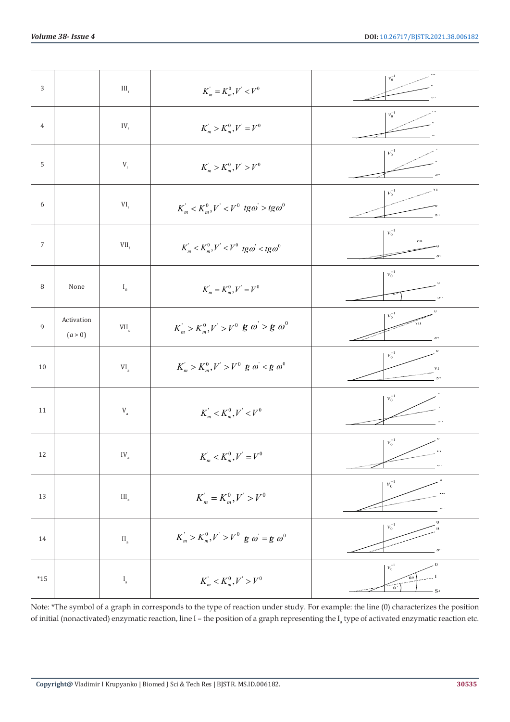| 3                |                       | $\mathop{\rm III}\nolimits_i$ | $K_m = K_m^0, V' < V^0$                                                                                                             | $\boldsymbol{\mathcal{V}}_0^{-1}$                                                    |
|------------------|-----------------------|-------------------------------|-------------------------------------------------------------------------------------------------------------------------------------|--------------------------------------------------------------------------------------|
| $\overline{4}$   |                       | $IV_i$                        | $K_m > K_m^0, V' = V^0$                                                                                                             | $v_0^{-1}$                                                                           |
| 5                |                       | $\mathbf{V}_{_i}$             | $K_m > K_m^0, V > V^0$                                                                                                              | $\varkappa_0^{-1}$                                                                   |
| 6                |                       | $VI_i$                        | $K_m^{\prime} < K_m^0, V^{\prime} < V^0$ tg $\omega > t g \omega^0$                                                                 | V1<br>$\boldsymbol{\nu}_0^{-1}$<br>$5 -$                                             |
| $\boldsymbol{7}$ |                       | $VII_i$                       | $K_m^{\prime} < K_m^0, V^{\prime} < V^0$ tg $\omega^{\prime} <$ tg $\omega^0$                                                       | $v_0^{-1}$<br>$_{\rm{V\,II}}$<br>$\mathbf{D}^{-1}$                                   |
| 8                | None                  | $\mathbf{I}_0$                | $K_m = K_m^0, V = V^0$                                                                                                              | $\varkappa_0^{-1}$                                                                   |
| $\,9$            | Activation<br>(a > 0) | $\mbox{VII}_a$                | $K_m^{\prime}>K_m^0, V^{\prime}>V^0 \hspace{0.2cm} \mathcal{B} \hspace{0.2cm} \omega^{\prime}> \mathcal{B} \hspace{0.2cm} \omega^0$ | U<br>$\varkappa_0^{-1}$<br>$\overline{v}_{\rm II}$                                   |
| $10\,$           |                       | $\mbox{VI}_{_{\rm a}}$        | $K_m > K_m^0, V > V^0$ g $\omega < g$ $\omega^0$                                                                                    | $\mathsf{U}$<br>$v_0^{-1}$<br>V 1                                                    |
| 11               |                       | $\rm V_{a}$                   | $K_m^{\prime} < K_m^0, V^{\prime} < V^0$                                                                                            | $\varkappa_0^{-1}$                                                                   |
| $12\,$           |                       | $\mathrm{IV}_\mathrm{a}$      | $K_m^{'} < K_m^{0}, V^{'} = V^{0}$                                                                                                  | $v_0^{-1}$<br>$\pmb{\mathsf{1}}$ v                                                   |
| 13               |                       | $\rm III_a$                   | $K_m = K_m^0, V' > V^0$                                                                                                             | $\varkappa_0^{-1}$                                                                   |
| $14\,$           |                       | $\rm{II}_a$                   | $K_m > K_m^0, V > V^0$ g $\omega = g \omega^0$                                                                                      | $v_0^{-1}$<br>$\mathbf{H}$<br>$\mathbf{S}^{-1}$                                      |
| $^{\ast}15$      |                       | $\mathbf{I}_{\rm a}$          | $K_m^{'} < K_m^0, V^{'} > V^0$                                                                                                      | O<br>$v_0^{-1}$<br>$\left(\frac{1}{\mathbf{u}},\frac{1}{\mathbf{v}}\right)$<br>$-S1$ |

Note: \*The symbol of a graph in corresponds to the type of reaction under study. For example: the line (0) characterizes the position of initial (nonactivated) enzymatic reaction, line I – the position of a graph representing the  $I_a$  type of activated enzymatic reaction etc.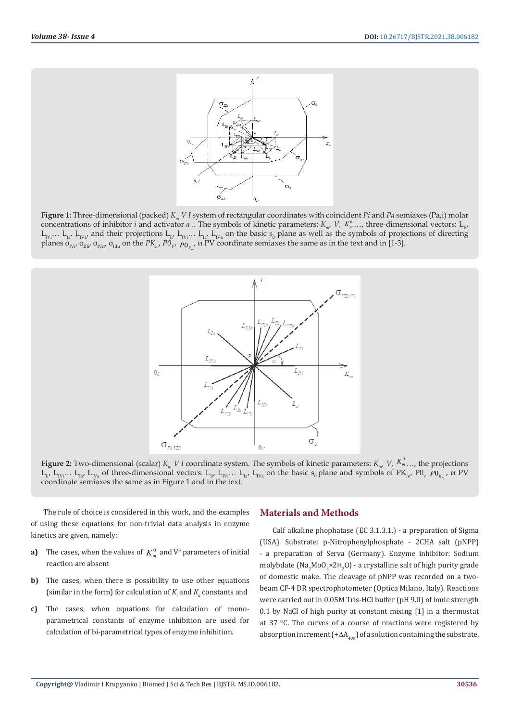

**Figure 1:** Three-dimensional (packed) *Km V I* system of rectangular coordinates with coincident *Pi* and *Pa* semiaxes (Pa,i) molar concentrations of inhibitor *i* and activator *a* .. The symbols of kinetic parameters:  $K_{m}$ ,  $V$ ,  $K_{m}^{0}$ , ..., three-dimensional vectors:  $L_{m}$  $L_{IVi}...$   $L_{Ia'}$   $L_{IVa'}$  and their projections  $L_{Ii'}$   $L_{IVi}...$   $L_{Ia'}$   $L_{IVa}$  on the basic  $s_0$  plane as well as the symbols of projections of directing planes σ<sub>IVi</sub>, σ<sub>IIIi</sub>, σ<sub>IVα</sub>, σ<sub>IIIα</sub> on the PK<sub>m</sub>, P0<sub>V</sub>, p<sub>0<sub>K<sub>n</sub></sub>, *M* PV coordinate semiaxes the same as in the text and in [1-3].</sub>



**Figure 2:** Two-dimensional (scalar)  $K_m V I$  coordinate system. The symbols of kinetic parameters:  $K_m V$ ,  $K_m^0$  …, the projections  $L_{1i'}$ ,  $L_{1i'j}$ …  $L_{1i'}$ ,  $L_{1i'j}$  of three-dimensional vectors:  $L_{1i'}$ ,  $L_{1i'j}$ …  $L_{1i'j'}$ ,  $L_{1i'j}$  on the basic  $s_0$  plane and symbols of PK<sub>m</sub>, P0<sub>v</sub>,  $P0$ <sub>k</sub>,  $\mu$  PV coordinate semiaxes the same as in Figure 1 and in the text.

The rule of choice is considered in this work, and the examples of using these equations for non-trivial data analysis in enzyme kinetics are given, namely:

- **a)** The cases, when the values of  $K_m^0$  and  $V^0$  parameters of initial reaction are absent
- **b)** The cases, when there is possibility to use other equations (similar in the form) for calculation of  $K_i$  and  $K_a$  constants and
- **c)** The cases, when equations for calculation of monoparametrical constants of enzyme inhibition are used for calculation of bi-parametrical types of enzyme inhibition.

## **Materials and Methods**

Calf alkaline phophatase (EC 3.1.3.1.) - a preparation of Sigma (USA). Substrate: p-Nitrophenylphosphate - 2CHA salt (pNPP) - a preparation of Serva (Germany). Enzyme inhibitor: Sodium molybdate (Na<sub>2</sub>MoO<sub>4</sub>×2H<sub>2</sub>O) - a crystalline salt of high purity grade of domestic make. The cleavage of pNPP was recorded on a twobeam CF-4 DR spectrophotometer (Optica Milano, Italy). Reactions were carried out in 0.05M Tris-HCl buffer (pH 9.0) of ionic strength 0.1 by NaCl of high purity at constant mixing [1] in a thermostat at 37 °C. The curves of a course of reactions were registered by absorption increment (+ $\Delta A_{100}$ ) of a solution containing the substrate,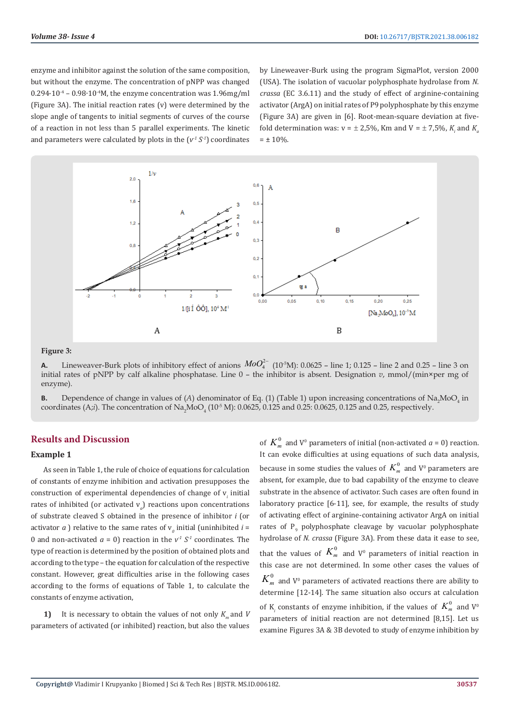enzyme and inhibitor against the solution of the same composition, but without the enzyme. The concentration of pNPP was changed 0.294·10-4 – 0.98∙10-4M, the enzyme concentration was 1.96mg/ml (Figure 3A). The initial reaction rates (v) were determined by the slope angle of tangents to initial segments of curves of the course of a reaction in not less than 5 parallel experiments. The kinetic and parameters were calculated by plots in the  $(v^1 S^1)$  coordinates

by Lineweaver-Burk using the program SigmaPlot, version 2000 (USA). The isolation of vacuolar polyphosphate hydrolase from *N. crassa* (EC 3.6.11) and the study of effect of arginine-containing activator (ArgA) on initial rates of P9 polyphosphate by this enzyme (Figure 3A) are given in [6]. Root-mean-square deviation at fivefold determination was:  $v = \pm 2.5$ %, Km and V =  $\pm 7.5$ %,  $K_i$  and  $K_a$  $= \pm 10\%$ .



#### **Figure 3:**

**A.** Lineweaver-Burk plots of inhibitory effect of anions  $MoO<sub>4</sub><sup>2-</sup> (10<sup>-5</sup>M): 0.0625$  – line 1; 0.125 – line 2 and 0.25 – line 3 on initial rates of pNPP by calf alkaline phosphatase. Line 0 – the inhibitor is absent. Designation *v*, mmol/(min×per mg of enzyme).

**B.** Dependence of change in values of  $(A)$  denominator of Eq. (1) (Table 1) upon increasing concentrations of  $Na<sub>2</sub>MoO<sub>4</sub>$  in coordinates (A;i). The concentration of  $\rm Na_2MoO_4$  ( $10^5$  M): 0.0625, 0.125 and 0.25: 0.0625, 0.125 and 0.25, respectively.

# **Results and Discussion**

## **Example 1**

As seen in Table 1, the rule of choice of equations for calculation of constants of enzyme inhibition and activation presupposes the  $\alpha$  construction of experimental dependencies of change of  $v_i$  initial rates of inhibited (or activated v*<sup>a</sup>* ) reactions upon concentrations of substrate cleaved S obtained in the presence of inhibitor *i* (or activator  $a$  ) relative to the same rates of  $v<sub>o</sub>$  initial (uninhibited  $i =$ 0 and non-activated  $a = 0$ ) reaction in the  $v^T S^T$  coordinates. The type of reaction is determined by the position of obtained plots and according to the type – the equation for calculation of the respective constant. However, great difficulties arise in the following cases according to the forms of equations of Table 1, to calculate the constants of enzyme activation,

**1)** It is necessary to obtain the values of not only  $K_m$  and *V* parameters of activated (or inhibited) reaction, but also the values

of  $K_m^0$  and  $V^0$  parameters of initial (non-activated  $a = 0$ ) reaction. It can evoke difficulties at using equations of such data analysis, because in some studies the values of  $\,_{m}^{0}\,$  and V $^{0}$  parameters are absent, for example, due to bad capability of the enzyme to cleave substrate in the absence of activator. Such cases are often found in laboratory practice [6-11], see, for example, the results of study of activating effect of arginine-containing activator ArgA on initial rates of  $P_{9}$  polyphosphate cleavage by vacuolar polyphosphate hydrolase of *N. crassa* (Figure 3A). From these data it ease to see, that the values of  $K_m^0$  and  $V^0$  parameters of initial reaction in this case are not determined. In some other cases the values of  $K_m^0\,$  and V $^0$  parameters of activated reactions there are ability to determine [12-14]. The same situation also occurs at calculation of K<sub>*i*</sub> constants of enzyme inhibition, if the values of  $K_m^0$  and V<sup>o</sup> parameters of initial reaction are not determined [8,15]. Let us examine Figures 3A & 3B devoted to study of enzyme inhibition by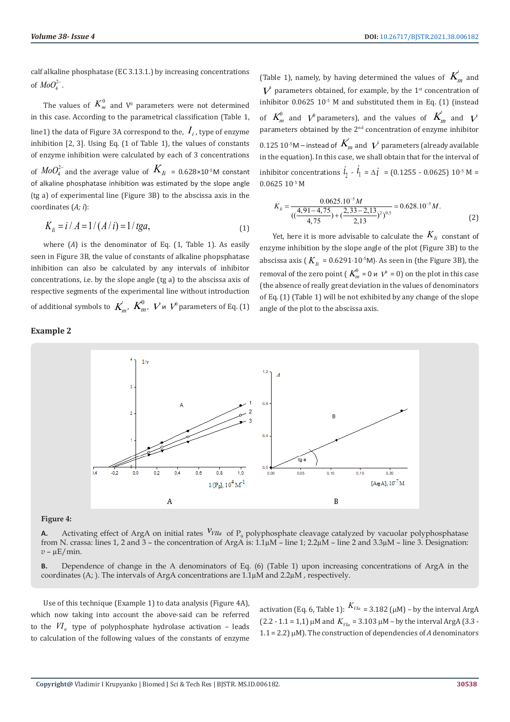calf alkaline phosphatase (EC 3.13.1.) by increasing concentrations of  $MoO_{4}^{2-}$ .

The values of  $K_m^0$  and  $V^0$  parameters were not determined in this case. According to the parametrical classification (Table 1, line1) the data of Figure 3A correspond to the,  $I_i$ , type of enzyme inhibition [2, 3]. Using Eq. (1 of Table 1), the values of constants of enzyme inhibition were calculated by each of 3 concentrations of  $\mathit{MoO}_{4}^{2-}$  and the average value of  $\mathit{K}_{\mathit{Ii}}$  = 0.628×10<sup>-5</sup>M constant of alkaline phosphatase inhibition was estimated by the slope angle (tg a) of experimental line (Figure 3B) to the abscissa axis in the coordinates (*A; i*):

$$
K_{li} = i / A = 1 / (A / i) = 1 / tga,
$$
\n(1)

where (*A*) is the denominator of Eq. (1, Table 1). As easily seen in Figure 3B, the value of constants of alkaline phopsphatase inhibition can also be calculated by any intervals of inhibitor concentrations, i.e. by the slope angle (tg a) to the abscissa axis of respective segments of the experimental line without introduction of additional symbols to  $\mathit{K}^{'}_{m}$ ,  $\mathit{K}^{0}_{m}$ ,  $\mathit{V}$  и  $\mathit{V}^{0}$  parameters of Eq. (1)

#### **Example 2**

(Table 1), namely, by having determined the values of  $K_m$  and  $V$  parameters obtained, for example, by the 1<sup>st</sup> concentration of inhibitor  $0.0625\ 10^{-5}$  M and substituted them in Eq. (1) (instead of  $K_m^0$  and  $V^0$  parameters), and the values of  $K_m^{\prime}$  and  $V^{\prime}$ parameters obtained by the  $2<sup>nd</sup>$  concentration of enzyme inhibitor  $0.125\,10^{\text{-}5}$ M – instead of  $\textit{\textbf{K}}_{m}^{+}$  and  $\textit{\textbf{V}}^{+}$  parameters (already available in the equation). In this case, we shall obtain that for the interval of inhibitor concentrations  $i_2 - i_1 = \Delta i = (0.1255 - 0.0625) 10^{-5} M =$ 0.0625 10-5 М

$$
K_{ii} = \frac{0.0625.10^{-5}M}{\left(\left(\frac{4,91 - 4,75}{4,75}\right) + \left(\frac{2,33 - 2,13}{2,13}\right)^2\right)^{0.5}} = 0.628.10^{-5}M.
$$
\n(2)

Yet, here it is more advisable to calculate the  $K_{I_i}$  constant of enzyme inhibition by the slope angle of the plot (Figure 3B) to the abscissa axis ( $K_{li}$  = 0.6291⋅10<sup>-5</sup>M). As seen in (the Figure 3B), the removal of the zero point ( $K_m^0$  = 0  $\mu$   $V^0$  = 0) on the plot in this case (the absence of really great deviation in the values of denominators of Eq. (1) (Table 1) will be not exhibited by any change of the slope angle of the plot to the abscissa axis.



#### **Figure 4:**

**A.** Activating effect of ArgA on initial rates  $v_{VIIa}$  of  $P_9$  polyphosphate cleavage catalyzed by vacuolar polyphosphatase from N. crassa: lines 1, 2 and 3 – the concentration of ArgA is:  $1.1 \mu$ M – line 1;  $2.2 \mu$ M – line 2 and  $3.3 \mu$ M – line 3. Designation:  $v - \mu E / \text{min}$ .

**B.** Dependence of change in the A denominators of Eq. (6) (Table 1) upon increasing concentrations of ArgA in the coordinates (А; ). The intervals of ArgA concentrations are 1.1µM and 2.2µM , respectively.

Use of this technique (Example 1) to data analysis (Figure 4A), which now taking into account the above-said can be referred to the  $VI_a$  type of polyphosphate hydrolase activation – leads to calculation of the following values of the constants of enzyme

activation (Eq. 6, Table 1):  $K_{V1a} = 3.182$  ( $\mu$ M) – by the interval ArgA  $(2.2 - 1.1 = 1.1) \mu M$  and  $K_{V/a} = 3.103 \mu M$  – by the interval ArgA (3.3 -1.1 = 2.2) µM). The construction of dependencies of *A* denominators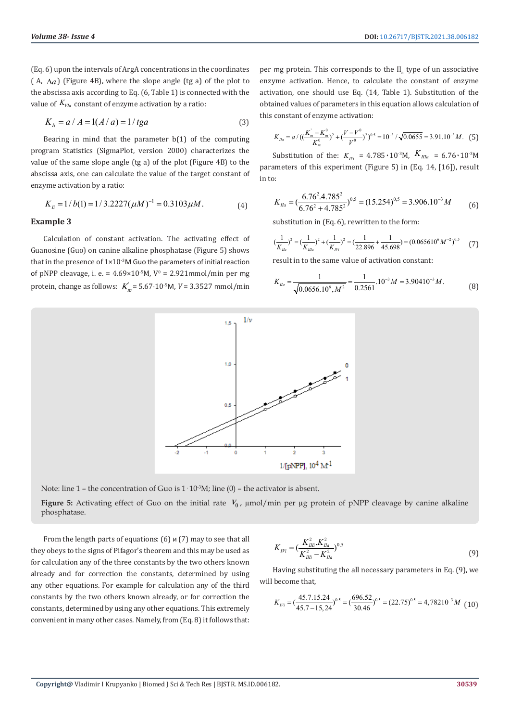(Eq. 6) upon the intervals of ArgA concentrations in the coordinates ( A,  $\Delta a$ ) (Figure 4B), where the slope angle (tg a) of the plot to the abscissa axis according to Eq. (6, Table 1) is connected with the value of  $K_{V1a}$  constant of enzyme activation by a ratio:

$$
K_{Ii} = a / A = 1(A/a) = 1 / tga
$$
 (3)

Bearing in mind that the parameter  $b(1)$  of the computing program Statistics (SigmaPlot, version 2000) characterizes the value of the same slope angle (tg a) of the plot (Figure 4B) to the abscissa axis, one can calculate the value of the target constant of enzyme activation by a ratio:

$$
K_{li} = 1/b(1) = 1/3.2227(\mu M)^{-1} = 0.3103\mu M.
$$
 (4)

### **Example 3**

Calculation of constant activation. The activating effect of Guanosine (Guo) on canine alkaline phosphatase (Figure 5) shows that in the presence of  $1\times10^{-3}$ M Guo the parameters of initial reaction of pNPP cleavage, i. e. =  $4.69 \times 10^{-5}$ M,  $V^0 = 2.921$ mmol/min per mg protein, change as follows:  $K_m^{\prime} = 5.67 \cdot 10^{5}$ M,  $V = 3.3527$  mmol/min per mg protein. This corresponds to the  $II_a$  type of un associative enzyme activation. Hence, to calculate the constant of enzyme activation, one should use Eq. (14, Table 1). Substitution of the obtained values of parameters in this equation allows calculation of this constant of enzyme activation:

$$
K_{Ila} = a / ((\frac{K_m - K_m^0}{K_m^0})^2 + (\frac{V - V^0}{V^0})^2)^{0.5} = 10^{-3} / \sqrt{0.0655} = 3.91.10^{-3} M. \tag{5}
$$

Substitution of the:  $K_{IVI}$  = 4.785 · 10<sup>-3</sup>M,  $K_{IIIa}$  = 6.76 · 10<sup>-3</sup>M parameters of this experiment (Figure 5) in (Eq. 14, [16]), result in to:

$$
K_{\text{I}\text{I}\text{a}} = \left(\frac{6.76^2 \cdot 4.785^2}{6.76^2 + 4.785^2}\right)^{0.5} = (15.254)^{0.5} = 3.906.10^{-3} M\tag{6}
$$

substitution in (Eq. 6), rewritten to the form:

$$
(\frac{1}{K_{Ia}})^2 = (\frac{1}{K_{Ia}})^2 + (\frac{1}{K_{I'i}})^2 = (\frac{1}{22.896} + \frac{1}{45.698}) = (0.065610^6 M^{-2})^{0.5}
$$
 (7)

result in to the same value of activation constant:

$$
K_{\text{Ifa}} = \frac{1}{\sqrt{0.0656.10^6, M^2}} = \frac{1}{0.2561} .10^{-3} M = 3.90410^{-3} M. \tag{8}
$$



Note: line 1 – the concentration of Guo is  $1 \cdot 10^{-3}M$ ; line (0) – the activator is absent.

**Figure 5:** Activating effect of Guo on the initial rate  $V_0$ ,  $\mu$ mol/min per  $\mu$ g protein of pNPP cleavage by canine alkaline phosphatase.

From the length parts of equations: (6) и (7) may to see that all they obeys to the signs of Pifagor's theorem and this may be used as for calculation any of the three constants by the two others known already and for correction the constants, determined by using any other equations. For example for calculation any of the third constants by the two others known already, or for correction the constants, determined by using any other equations. This extremely convenient in many other cases. Namely, from (Eq. 8) it follows that:

$$
K_{IVI} = (\frac{K_{IIII}^2 \cdot K_{IIa}^2}{K_{IIII}^2 - K_{IIa}^2})^{0.5}
$$
\n(9)

Having substituting the all necessary parameters in Eq. (9), we will become that,

$$
K_{1/17} = \left(\frac{45.7.15.24}{45.7 - 15.24}\right)^{0.5} = \left(\frac{696.52}{30.46}\right)^{0.5} = (22.75)^{0.5} = 4,78210^{-3}M\tag{10}
$$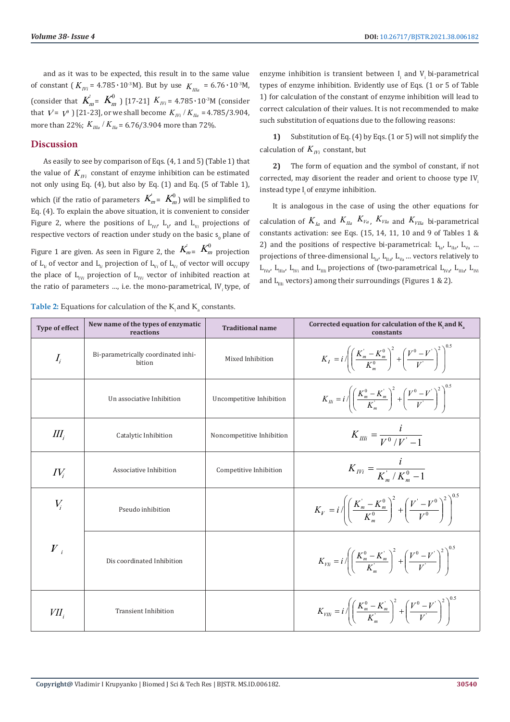and as it was to be expected, this result in to the same value of constant ( $K_{IVi}$  = 4.785 · 10<sup>-3</sup>M). But by use  $K_{IIIi}$  = 6.76 · 10<sup>-3</sup>M, (consider that  $K_{m} = K_{m}^{0}$ ) [17-21]  $K_{IVI} = 4.785 \cdot 10^{3} M$  (consider that  $V = V^0$  ) [21-23], or we shall become  $K_{IVI} / K_{IIa} = 4.785/3.904$ , more than 22%;  $K_{IIa} / K_{Ia} = 6.76/3.904$  more than 72%.

# **Discussion**

As easily to see by comparison of Eqs. (4, 1 and 5) (Table 1) that the value of  $K_{IVI}$  constant of enzyme inhibition can be estimated not only using Eq. (4), but also by Eq. (1) and Eq. (5 of Table 1), which (if the ratio of parameters  $\overrightarrow{K}_{m}^{'}$  =  $\overrightarrow{K}_{m}^{0}$ ) will be simplified to Eq. (4). To explain the above situation, it is convenient to consider Figure 2, where the positions of  $L_{IV'}$   $L_{II'}$  and  $L_{Vi}$  projections of respective vectors of reaction under study on the basic  $s_0$  plane of Figure 1 are given. As seen in Figure 2, the  $\overrightarrow{K}_{m} = \overrightarrow{K}_{m}^{0}$  projection of  $L_{I_i}$  of vector and  $L_{I_i}$  projection of  $L_{V_i}$  of  $L_{V_i}$  of vector will occupy the place of  $L_{IVi}$  projection of  $L_{IVi}$  vector of inhibited reaction at the ratio of parameters …, i.e. the mono-parametrical, IV*<sup>i</sup>* type, of

enzyme inhibition is transient between  $I_i$  and  $V_i$  bi-parametrical types of enzyme inhibition. Evidently use of Eqs. (1 or 5 of Table 1) for calculation of the constant of enzyme inhibition will lead to correct calculation of their values. It is not recommended to make such substitution of equations due to the following reasons:

**1)** Substitution of Eq. (4) by Eqs. (1 or 5) will not simplify the calculation of  $K_{IVI}$  constant, but

**2)** The form of equation and the symbol of constant, if not corrected, may disorient the reader and orient to choose type IV. instead type I, of enzyme inhibition.

It is analogous in the case of using the other equations for calculation of  $K_{Ia}$  and  $K_{Ia}$ ,  $K_{Va}$ ,  $K_{VIa}$  and  $K_{VIIa}$  bi-parametrical constants activation: see Eqs. (15, 14, 11, 10 and 9 of Tables 1 & 2) and the positions of respective bi-parametrical:  $L_{1a}$ ,  $L_{1a}$ ,  $L_{1b}$ , ... projections of three-dimensional  $L_{1a}$ ,  $L_{1a}$ ,  $L_{Va}$  ... vectors relatively to  $L_{I_{V_{\alpha'}}}$ ,  $L_{II_{\alpha'}}$ ,  $L_{IV_{\alpha'}}$  and  $L_{III_{\alpha'}}$  projections of (two-parametrical  $L_{IV_{\alpha'}}$ ,  $L_{III_{\alpha'}}$ ,  $L_{IV_{\alpha'}}$ and  $L_{\text{m}}$  vectors) among their surroundings (Figures 1 & 2).

| <b>Type of effect</b> | New name of the types of enzymatic<br>reactions | <b>Traditional name</b>   | Corrected equation for calculation of the K and $K_a$<br>constants                                                           |
|-----------------------|-------------------------------------------------|---------------------------|------------------------------------------------------------------------------------------------------------------------------|
| $I_i$                 | Bi-parametrically coordinated inhi-<br>bition   | Mixed Inhibition          | $K_{I} = i \sqrt{\left(\frac{K_{m}^{'} - K_{m}^{0}}{K_{m}^{0}}\right)^{2} + \left(\frac{V^{0} - V^{'} }{V^{'} }\right)^{2}}$ |
|                       | Un associative Inhibition                       | Uncompetitive Inhibition  | $K_{Ili} = i \sqrt{\left(\frac{K_m^0 - K_m^{'}}{K_m'}\right)^2 + \left(\frac{V^0 - V^{'}}{V}\right)^2}$                      |
| $I\!I\!I_i$           | Catalytic Inhibition                            | Noncompetitive Inhibition | $K_{IIIi} = \frac{l}{V^0/V^2-1}$                                                                                             |
| $IV_i$                | Associative Inhibition                          | Competitive Inhibition    | $K_{IVI} = \frac{l}{K_{I}^2/K_{I}^0 - 1}$                                                                                    |
| $V_i$                 | Pseudo inhibition                               |                           | $K_V = i \sqrt{\left(\frac{K_m - K_m^0}{K_m^0}\right)^2 + \left(\frac{V' - V^0}{V^0}\right)^2}$                              |
| $\boldsymbol{V}_{i}$  | Dis coordinated Inhibition                      |                           | $K_{VII} = i \sqrt{\left(\frac{K_m^0 - K_m^{'}}{K_m'}\right)^2 + \left(\frac{V^0 - V^{'}}{V}\right)^2}$                      |
| $VII_i$               | <b>Transient Inhibition</b>                     |                           | $K_{VIII} = i \sqrt{\left(\frac{K_m^0 - K_m^{'}}{K_m'}\right)^2 + \left(\frac{V^0 - V^{'}}{V^{'}}\right)^2}$                 |

**Table 2:** Equations for calculation of the  $K_i$  and  $K_a$  constants.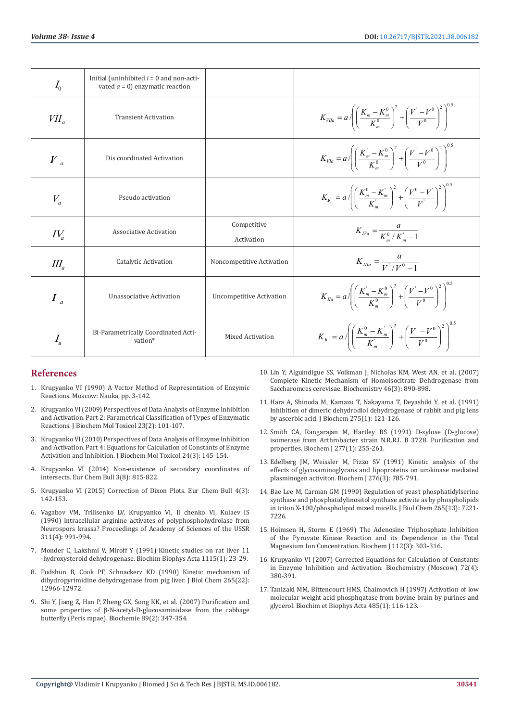| $I_0$                       | Initial (uninhibited $i = 0$ and non-acti-<br>vated $a = 0$ ) enzymatic reaction |                                 |                                                                                                                                |
|-----------------------------|----------------------------------------------------------------------------------|---------------------------------|--------------------------------------------------------------------------------------------------------------------------------|
| $VII_a$                     | <b>Transient Activation</b>                                                      |                                 | $K_{VIIa} = a \sqrt{\left(\frac{K_m - K_m^0}{K_m^0}\right)^2 + \left(\frac{V' - V^0}{V^0}\right)^2}$                           |
| $\left V\right _a$          | Dis coordinated Activation                                                       |                                 | $K_{VIa} = a / \left( \frac{K_m^{\prime} - K_m^0}{K_m^0} \right)^2 + \left( \frac{V^{\prime} - V^0}{V^0} \right)^2$            |
| $V_a$                       | Pseudo activation                                                                |                                 | $K_{u} = a \sqrt{\left(\frac{K_{m}^{0} - K_{m}^{'} }{K_{m}^{'} }\right)^{2} + \left(\frac{V^{0} - V^{'} }{V^{'} }\right)^{2}}$ |
| $IV_{\scriptscriptstyle a}$ | Associative Activation                                                           | Competitive<br>Activation       | $K_{IVA} = \frac{a}{K^0/K^2 - 1}$                                                                                              |
| $I\!I\!I_s$                 | Catalytic Activation                                                             | Noncompetitive Activation       | $K_{II/a} = \frac{a}{V^{1}/V^{0}-1}$                                                                                           |
| $I_a$                       | Unassociative Activation                                                         | <b>Uncompetitive Activation</b> | $K_{Ia} = a / \left( \frac{K_m^{\prime} - K_m^0}{K_m^0} \right)^2 + \left( \frac{V^{\prime} - V^0}{V^0} \right)^2$             |
| $I_{\scriptscriptstyle a}$  | Bi-Parametrically Coordinated Acti-<br>vation*                                   | <b>Mixed Activation</b>         | $K_h = a \sqrt{\left(\frac{K_m^0 - K_m'}{K_m'}\right)^2 + \left(\frac{V' - V^0}{V^0}\right)^2}$                                |

## **References**

- 1. Krupyanko VI (1990) A Vector Method of Representation of Enzymic Reactions. Moscow: Nauka, pp. 3-142.
- 2. [Krupyanko VI \(2009\) Perspectives of Data Analysis of Enzyme Inhibition](https://onlinelibrary.wiley.com/doi/abs/10.1002/jbt.20272)  [and Activation. Part 2: Parametrical Classification of Types of Enzymatic](https://onlinelibrary.wiley.com/doi/abs/10.1002/jbt.20272)  [Reactions. J Biochem Mol Toxicol 23\(2\): 101-107.](https://onlinelibrary.wiley.com/doi/abs/10.1002/jbt.20272)
- 3. [Krupyanko VI \(2010\) Perspectives of Data Analysis of Enzyme Inhibition](https://pubmed.ncbi.nlm.nih.gov/20583219/)  [and Activation. Part 4: Equations for Calculation of Constants of Enzyme](https://pubmed.ncbi.nlm.nih.gov/20583219/)  [Activation and Inhibition. J Biochem Mol Toxicol 24\(3\): 145-154.](https://pubmed.ncbi.nlm.nih.gov/20583219/)
- 4. Krupyanko VI (2014) Non-existence of secondary coordinates of intersects. Eur Chem Bull 3(8): 815-822.
- 5. [Krupyanko VI \(2015\) Correction of Dixon Plots. Eur Chem Bull 4\(3\):](https://epa.oszk.hu/02200/02286/00033/pdf/EPA02286_chemical_2015_1-3_142-153.pdf)  [142-153.](https://epa.oszk.hu/02200/02286/00033/pdf/EPA02286_chemical_2015_1-3_142-153.pdf)
- 6. Vagabov VM, Trilisenko LV, Krupyanko VI, Il chenko VI, Kulaev IS (1990) Intracellular arginine activates of polyphosphohydrolase from Neurospors krassa? Proceedings of Academy of Sciences of the USSR 311(4): 991-994.
- 7. [Monder C, Lakshmi V, Miroff Y \(1991\) Kinetic studies on rat liver 11](https://pubmed.ncbi.nlm.nih.gov/1958701/)  [-hydroxysteroid dehydrogenase. Biochim Biophys Acta 1115\(1\): 23-29.](https://pubmed.ncbi.nlm.nih.gov/1958701/)
- 8. [Podshun B, Cook PF, Schnackerz KD \(1990\) Kinetic mechanism of](https://pubmed.ncbi.nlm.nih.gov/2198281/)  [dihydropyrimidine dehydrogenase from pig liver. J Biol Chem 265\(22\):](https://pubmed.ncbi.nlm.nih.gov/2198281/)  [12966-12972.](https://pubmed.ncbi.nlm.nih.gov/2198281/)
- 9. [Shi Y, Jiang Z, Han P, Zheng GX, Song KK, et al. \(2007\) Purification and](https://europepmc.org/article/med/17258376)  some properties of β[-N-acetyl-D-glucosaminidase from the cabbage](https://europepmc.org/article/med/17258376)  [butterfly \(Peris rapae\). Biochemie 89\(2\): 347-354.](https://europepmc.org/article/med/17258376)
- 10. [Lin Y, Alguindigue SS, Volkman J, Nicholas KM, West AN, et al. \(2007\)](https://pubmed.ncbi.nlm.nih.gov/17223711/) [Complete Kinetic Mechanism of Homoisocitrate Dehdrogenase from](https://pubmed.ncbi.nlm.nih.gov/17223711/) [Saccharomces cerevisae. Biochemistry 46\(3\): 890-898.](https://pubmed.ncbi.nlm.nih.gov/17223711/)
- 11. [Hara A, Shinoda M, Kamazu T, Nakayama T, Deyashiki Y, et al. \(1991\)](https://pubmed.ncbi.nlm.nih.gov/2018468/) [Inhibition of dimeric dehydrodiol dehydrogenase of rabbit and pig lens](https://pubmed.ncbi.nlm.nih.gov/2018468/) [by ascerbic acid. J Biochem 275\(1\): 121-126.](https://pubmed.ncbi.nlm.nih.gov/2018468/)
- 12. [Smith CA, Rangarajan M, Hartley BS \(1991\) D-xylose \(D-glucose\)](https://www.ncbi.nlm.nih.gov/pmc/articles/PMC1151217/) [isomerase from Arthrobacter strain N.R.R.I. B 3728. Purification and](https://www.ncbi.nlm.nih.gov/pmc/articles/PMC1151217/) [properties. Biochem J 277\(1\): 255-261.](https://www.ncbi.nlm.nih.gov/pmc/articles/PMC1151217/)
- 13. [Edelberg JM, Weissler M, Pizzo SV \(1991\) Kinetic analysis of the](https://pubmed.ncbi.nlm.nih.gov/1829607/) [effects of glycosaminoglycans and lipoproteins on urokinase mediated](https://pubmed.ncbi.nlm.nih.gov/1829607/) [plasminogen activiton. Biochem J 276\(3\): 785-791.](https://pubmed.ncbi.nlm.nih.gov/1829607/)
- 14. [Bae Lee M, Carman GM \(1990\) Regulation of yeast phosphatidylserine](https://pubmed.ncbi.nlm.nih.gov/2158994/) [synthase and phosphatidylinositol synthase activite as by phospholipids](https://pubmed.ncbi.nlm.nih.gov/2158994/) [in triton X-100/phospholipid mixed micells. J Biol Chem 265\(13\): 7221-](https://pubmed.ncbi.nlm.nih.gov/2158994/) [7226.](https://pubmed.ncbi.nlm.nih.gov/2158994/)
- 15. [Hoimsen H, Storm E \(1969\) The Adenosine Triphosphate Inhibition](https://pubmed.ncbi.nlm.nih.gov/4308294/) [of the Pyruvate Kinase Reaction and its Dependence in the Total](https://pubmed.ncbi.nlm.nih.gov/4308294/) [Magnesium Ion Concentration. Biochem J 112\(3\): 303-316.](https://pubmed.ncbi.nlm.nih.gov/4308294/)
- 16. [Krupyanko VI \(2007\) Corrected Equations for Calculation of Constants](https://pubmed.ncbi.nlm.nih.gov/17511602/) [in Enzyme Inhibition and Activation. Biochemistry \(Moscow\) 72\(4\):](https://pubmed.ncbi.nlm.nih.gov/17511602/) [380-391.](https://pubmed.ncbi.nlm.nih.gov/17511602/)
- 17. [Tanizaki MM, Bittencourt HMS, Chaimovich H \(1997\) Activation of low](https://pubmed.ncbi.nlm.nih.gov/199263/) [molecular weight acid phosphqatase from bovine brain by purines and](https://pubmed.ncbi.nlm.nih.gov/199263/) [glycerol. Biochim et Biophys Acta 485\(1\): 116-123.](https://pubmed.ncbi.nlm.nih.gov/199263/)